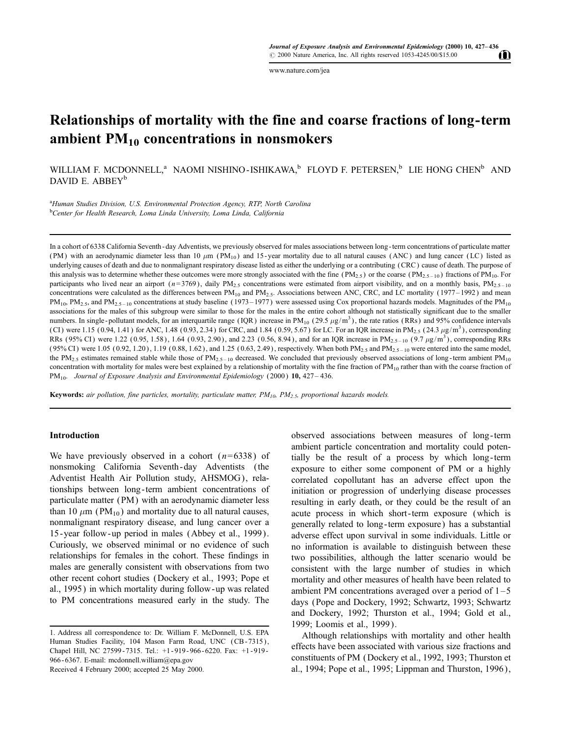www.nature.com/iea

# Relationships of mortality with the fine and coarse fractions of long-term ambient  $PM_{10}$  concentrations in nonsmokers

WILLIAM F. MCDONNELL,<sup>a</sup> NAOMI NISHINO-ISHIKAWA,<sup>b</sup> FLOYD F. PETERSEN,<sup>b</sup> LIE HONG CHEN<sup>b</sup> AND DAVID E. ABBEY<sup>b</sup>

<sup>a</sup>Human Studies Division, U.S. Environmental Protection Agency, RTP, North Carolina <sup>b</sup>Center for Health Research, Loma Linda University, Loma Linda, California

In a cohort of 6338 California Seventh - day Adventists, we previously observed for males associations between long - term concentrations of particulate matter (PM) with an aerodynamic diameter less than 10  $\mu$ m (PM<sub>10</sub>) and 15-year mortality due to all natural causes (ANC) and lung cancer (LC) listed as underlying causes of death and due to nonmalignant respiratory disease listed as either the underlying or a contributing (CRC) cause of death. The purpose of this analysis was to determine whether these outcomes were more strongly associated with the fine  $(PM_{2.5})$  or the coarse  $(PM_{2.5-10})$  fractions of PM<sub>10</sub>. For participants who lived near an airport ( $n=3769$ ), daily PM<sub>2.5</sub> concentrations were estimated from airport visibility, and on a monthly basis, PM<sub>2.5-10</sub> concentrations were calculated as the differences between  $PM_{10}$  and  $PM_{2.5}$ . Associations between ANC, CRC, and LC mortality (1977–1992) and mean  $PM_{10}$ ,  $PM_{2.5}$ , and  $PM_{2.5-10}$  concentrations at study baseline (1973-1977) were assessed using Cox proportional hazards models. Magnitudes of the PM<sub>10</sub> associations for the males of this subgroup were similar to those for the males in the entire cohort although not statistically significant due to the smaller numbers. In single-pollutant models, for an interquartile range (IQR) increase in PM<sub>10</sub> (29.5  $\mu$ g/m<sup>3</sup>), the rate ratios (RRs) and 95% confidence intervals (CI) were 1.15 (0.94, 1.41) for ANC, 1.48 (0.93, 2.34) for CRC, and 1.84 (0.59, 5.67) for LC. For an IQR increase in PM<sub>2.5</sub> (24.3  $\mu$ g/m<sup>3</sup>), corresponding RRs (95% CI) were 1.22 (0.95, 1.58), 1.64 (0.93, 2.90), and 2.23 (0.56, 8.94), and for an IQR increase in PM<sub>2.5-10</sub> (9.7  $\mu$ g/m<sup>3</sup>), corresponding RRs (95% CI) were 1.05 (0.92, 1.20), 1.19 (0.88, 1.62), and 1.25 (0.63, 2.49), respectively. When both  $PM_{2.5}$  and  $PM_{2.5-10}$  were entered into the same model, the PM<sub>2.5</sub> estimates remained stable while those of PM<sub>2.5-10</sub> decreased. We concluded that previously observed associations of long-term ambient PM<sub>10</sub> concentration with mortality for males were best explained by a relationship of mortality with the fine fraction of  $PM_{10}$  rather than with the coarse fraction of PM<sub>10</sub>. Journal of Exposure Analysis and Environmental Epidemiology (2000) 10, 427 - 436.

**Keywords:** air pollution, fine particles, mortality, particulate matter,  $PM_{10}$ ,  $PM_{2.5}$ , proportional hazards models.

# Introduction

We have previously observed in a cohort  $(n=6338)$  of nonsmoking California Seventh-day Adventists (the Adventist Health Air Pollution study, AHSMOG), relationships between long-term ambient concentrations of particulate matter (PM) with an aerodynamic diameter less than 10  $\mu$ m (PM<sub>10</sub>) and mortality due to all natural causes, nonmalignant respiratory disease, and lung cancer over a 15-year follow-up period in males (Abbey et al., 1999). Curiously, we observed minimal or no evidence of such relationships for females in the cohort. These findings in males are generally consistent with observations from two other recent cohort studies (Dockery et al., 1993; Pope et al., 1995) in which mortality during follow-up was related to PM concentrations measured early in the study. The

observed associations between measures of long-term ambient particle concentration and mortality could potentially be the result of a process by which long-term exposure to either some component of PM or a highly correlated copollutant has an adverse effect upon the initiation or progression of underlying disease processes resulting in early death, or they could be the result of an acute process in which short-term exposure (which is generally related to long-term exposure) has a substantial adverse effect upon survival in some individuals. Little or no information is available to distinguish between these two possibilities, although the latter scenario would be consistent with the large number of studies in which mortality and other measures of health have been related to ambient PM concentrations averaged over a period of  $1-5$ days (Pope and Dockery, 1992; Schwartz, 1993; Schwartz and Dockery, 1992; Thurston et al., 1994; Gold et al., 1999; Loomis et al., 1999).

Although relationships with mortality and other health effects have been associated with various size fractions and constituents of PM (Dockery et al., 1992, 1993; Thurston et al., 1994; Pope et al., 1995; Lippman and Thurston, 1996),

W

<sup>1.</sup> Address all correspondence to: Dr. William F. McDonnell, U.S. EPA Human Studies Facility, 104 Mason Farm Road, UNC (CB-7315), Chapel Hill, NC 27599-7315. Tel.: +1-919-966-6220. Fax: +1-919-966-6367. E-mail: mcdonnell.william@epa.gov Received 4 February 2000; accepted 25 May 2000.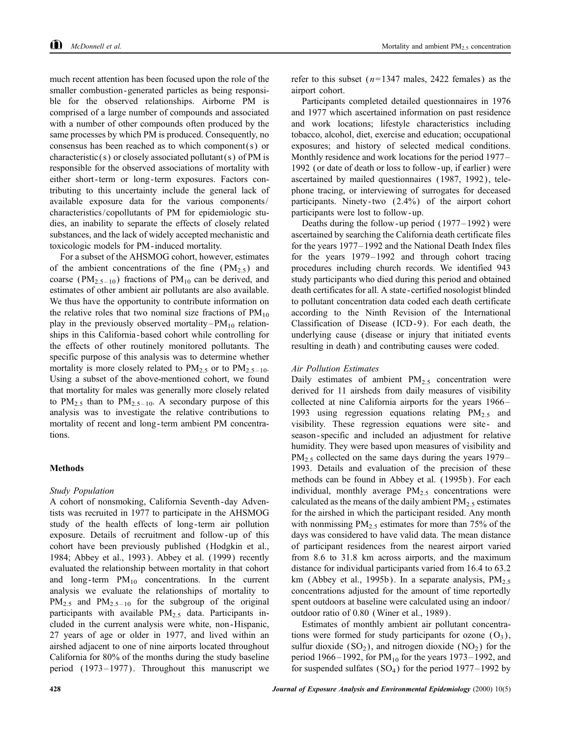much recent attention has been focused upon the role of the smaller combustion-generated particles as being responsible for the observed relationships. Airborne PM is comprised of a large number of compounds and associated with a number of other compounds often produced by the same processes by which PM is produced. Consequently, no consensus has been reached as to which component( $s$ ) or characteristic(s) or closely associated pollutant(s) of PM is responsible for the observed associations of mortality with either short-term or long-term exposures. Factors contributing to this uncertainty include the general lack of available exposure data for the various components/ characteristics/copollutants of PM for epidemiologic studies, an inability to separate the effects of closely related substances, and the lack of widely accepted mechanistic and toxicologic models for PM-induced mortality.

For a subset of the AHSMOG cohort, however, estimates of the ambient concentrations of the fine  $(PM_{2.5})$  and coarse ( $PM_{2,5-10}$ ) fractions of  $PM_{10}$  can be derived, and estimates of other ambient air pollutants are also available. We thus have the opportunity to contribute information on the relative roles that two nominal size fractions of  $PM_{10}$ play in the previously observed mortality– $PM_{10}$  relationships in this California-based cohort while controlling for the effects of other routinely monitored pollutants. The specific purpose of this analysis was to determine whether mortality is more closely related to  $PM_{2.5}$  or to  $PM_{2.5-10}$ . Using a subset of the above-mentioned cohort, we found that mortality for males was generally more closely related to  $PM_{2.5}$  than to  $PM_{2.5-10}$ . A secondary purpose of this analysis was to investigate the relative contributions to mortality of recent and long-term ambient PM concentrations.

# **Methods**

# **Study Population**

A cohort of nonsmoking, California Seventh-day Adventists was recruited in 1977 to participate in the AHSMOG study of the health effects of long-term air pollution exposure. Details of recruitment and follow-up of this cohort have been previously published (Hodgkin et al., 1984; Abbey et al., 1993). Abbey et al. (1999) recently evaluated the relationship between mortality in that cohort and long-term  $PM_{10}$  concentrations. In the current analysis we evaluate the relationships of mortality to  $PM_{2.5}$  and  $PM_{2.5-10}$  for the subgroup of the original participants with available  $PM_{2.5}$  data. Participants included in the current analysis were white, non-Hispanic, 27 years of age or older in 1977, and lived within an airshed adjacent to one of nine airports located throughout California for 80% of the months during the study baseline period (1973–1977). Throughout this manuscript we refer to this subset  $(n=1347 \text{ males}, 2422 \text{ females})$  as the airport cohort.

Participants completed detailed questionnaires in 1976 and 1977 which ascertained information on past residence and work locations; lifestyle characteristics including tobacco, alcohol, diet, exercise and education; occupational exposures; and history of selected medical conditions. Monthly residence and work locations for the period 1977– 1992 (or date of death or loss to follow-up, if earlier) were ascertained by mailed questionnaires (1987, 1992), telephone tracing, or interviewing of surrogates for deceased participants. Ninety-two  $(2.4\%)$  of the airport cohort participants were lost to follow-up.

Deaths during the follow-up period  $(1977-1992)$  were ascertained by searching the California death certificate files for the years 1977–1992 and the National Death Index files for the years  $1979-1992$  and through cohort tracing procedures including church records. We identified 943 study participants who died during this period and obtained death certificates for all. A state-certified nosologist blinded to pollutant concentration data coded each death certificate according to the Ninth Revision of the International Classification of Disease (ICD-9). For each death, the underlying cause (disease or injury that initiated events resulting in death) and contributing causes were coded.

#### **Air Pollution Estimates**

Daily estimates of ambient  $PM_{2.5}$  concentration were derived for 11 airsheds from daily measures of visibility collected at nine California airports for the years 1966– 1993 using regression equations relating  $PM_{2.5}$  and visibility. These regression equations were site- and season-specific and included an adjustment for relative humidity. They were based upon measures of visibility and  $PM_2$ , collected on the same days during the years 1979– 1993. Details and evaluation of the precision of these methods can be found in Abbey et al. (1995b). For each individual, monthly average PM<sub>2.5</sub> concentrations were calculated as the means of the daily ambient  $PM_{2.5}$  estimates for the airshed in which the participant resided. Any month with nonmissing  $PM_{2.5}$  estimates for more than 75% of the days was considered to have valid data. The mean distance of participant residences from the nearest airport varied from 8.6 to 31.8 km across airports, and the maximum distance for individual participants varied from 16.4 to 63.2 km (Abbey et al., 1995b). In a separate analysis,  $PM_{2.5}$ concentrations adjusted for the amount of time reportedly spent outdoors at baseline were calculated using an indoor/ outdoor ratio of 0.80 (Winer et al., 1989).

Estimates of monthly ambient air pollutant concentrations were formed for study participants for ozone  $(O_3)$ , sulfur dioxide  $(SO_2)$ , and nitrogen dioxide  $(NO_2)$  for the period 1966–1992, for  $PM_{10}$  for the years 1973–1992, and for suspended sulfates  $(SO<sub>4</sub>)$  for the period 1977–1992 by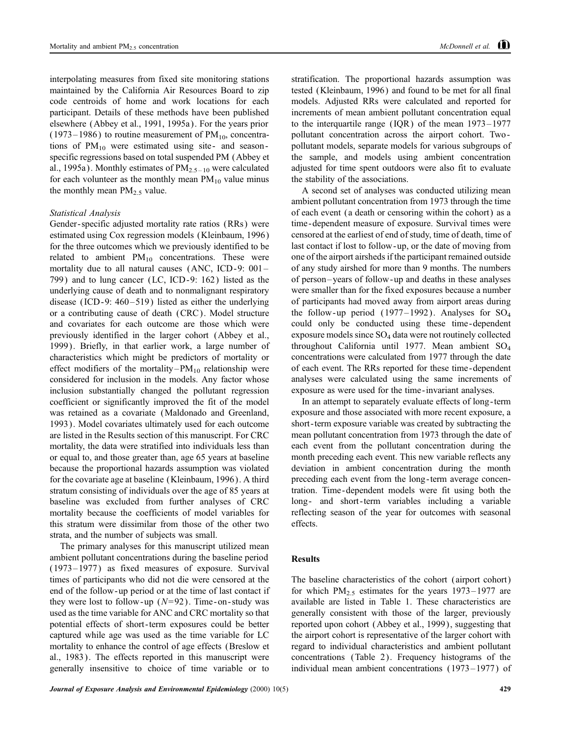interpolating measures from fixed site monitoring stations maintained by the California Air Resources Board to zip code centroids of home and work locations for each participant. Details of these methods have been published elsewhere (Abbey et al., 1991, 1995a). For the years prior  $(1973-1986)$  to routine measurement of PM<sub>10</sub>, concentrations of  $PM_{10}$  were estimated using site- and seasonspecific regressions based on total suspended PM (Abbey et al., 1995a). Monthly estimates of  $PM_{2.5-10}$  were calculated for each volunteer as the monthly mean  $PM_{10}$  value minus the monthly mean  $PM_{2.5}$  value.

# Statistical Analysis

Gender-specific adjusted mortality rate ratios (RRs) were estimated using Cox regression models (Kleinbaum, 1996) for the three outcomes which we previously identified to be related to ambient  $PM_{10}$  concentrations. These were mortality due to all natural causes (ANC, ICD-9: 001-799) and to lung cancer (LC, ICD-9: 162) listed as the underlying cause of death and to nonmalignant respiratory disease (ICD-9:  $460-519$ ) listed as either the underlying or a contributing cause of death (CRC). Model structure and covariates for each outcome are those which were previously identified in the larger cohort (Abbey et al., 1999). Briefly, in that earlier work, a large number of characteristics which might be predictors of mortality or effect modifiers of the mortality– $PM_{10}$  relationship were considered for inclusion in the models. Any factor whose inclusion substantially changed the pollutant regression coefficient or significantly improved the fit of the model was retained as a covariate (Maldonado and Greenland, 1993). Model covariates ultimately used for each outcome are listed in the Results section of this manuscript. For CRC mortality, the data were stratified into individuals less than or equal to, and those greater than, age 65 years at baseline because the proportional hazards assumption was violated for the covariate age at baseline (Kleinbaum, 1996). A third stratum consisting of individuals over the age of 85 years at baseline was excluded from further analyses of CRC mortality because the coefficients of model variables for this stratum were dissimilar from those of the other two strata, and the number of subjects was small.

The primary analyses for this manuscript utilized mean ambient pollutant concentrations during the baseline period  $(1973-1977)$  as fixed measures of exposure. Survival times of participants who did not die were censored at the end of the follow-up period or at the time of last contact if they were lost to follow-up ( $N=92$ ). Time-on-study was used as the time variable for ANC and CRC mortality so that potential effects of short-term exposures could be better captured while age was used as the time variable for LC mortality to enhance the control of age effects (Breslow et al., 1983). The effects reported in this manuscript were generally insensitive to choice of time variable or to

stratification. The proportional hazards assumption was tested (Kleinbaum, 1996) and found to be met for all final models. Adjusted RRs were calculated and reported for increments of mean ambient pollutant concentration equal to the interquartile range (IQR) of the mean  $1973-1977$ pollutant concentration across the airport cohort. Twopollutant models, separate models for various subgroups of the sample, and models using ambient concentration adjusted for time spent outdoors were also fit to evaluate the stability of the associations.

A second set of analyses was conducted utilizing mean ambient pollutant concentration from 1973 through the time of each event (a death or censoring within the cohort) as a time-dependent measure of exposure. Survival times were censored at the earliest of end of study, time of death, time of last contact if lost to follow-up, or the date of moving from one of the airport airsheds if the participant remained outside of any study airshed for more than 9 months. The numbers of person-years of follow-up and deaths in these analyses were smaller than for the fixed exposures because a number of participants had moved away from airport areas during the follow-up period (1977–1992). Analyses for  $SO_4$ could only be conducted using these time-dependent exposure models since  $SO_4$  data were not routinely collected throughout California until 1977. Mean ambient  $SO_4$ concentrations were calculated from 1977 through the date of each event. The RRs reported for these time-dependent analyses were calculated using the same increments of exposure as were used for the time-invariant analyses.

In an attempt to separately evaluate effects of long-term exposure and those associated with more recent exposure, a short-term exposure variable was created by subtracting the mean pollutant concentration from 1973 through the date of each event from the pollutant concentration during the month preceding each event. This new variable reflects any deviation in ambient concentration during the month preceding each event from the long-term average concentration. Time-dependent models were fit using both the long- and short-term variables including a variable reflecting season of the year for outcomes with seasonal effects.

## **Results**

The baseline characteristics of the cohort (airport cohort) for which  $PM_{2.5}$  estimates for the years 1973–1977 are available are listed in Table 1. These characteristics are generally consistent with those of the larger, previously reported upon cohort (Abbey et al., 1999), suggesting that the airport cohort is representative of the larger cohort with regard to individual characteristics and ambient pollutant concentrations (Table 2). Frequency histograms of the individual mean ambient concentrations  $(1973-1977)$  of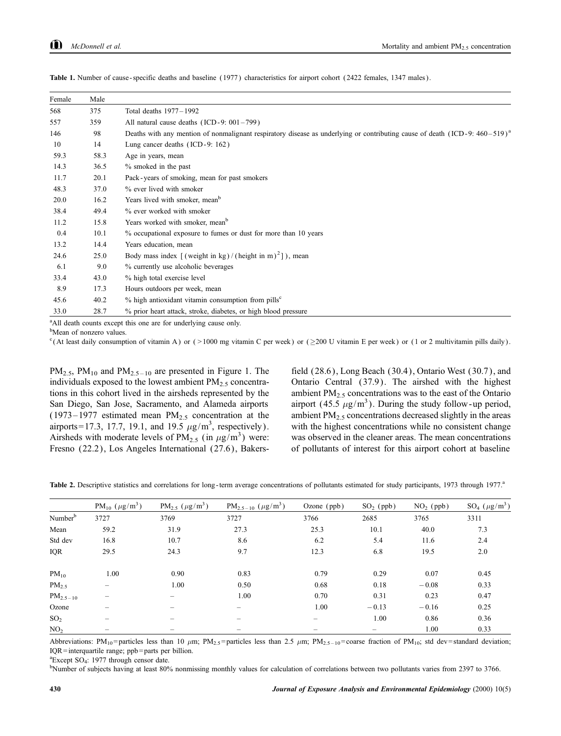| Female | Male |                                                                                                                                        |
|--------|------|----------------------------------------------------------------------------------------------------------------------------------------|
| 568    | 375  | Total deaths 1977-1992                                                                                                                 |
| 557    | 359  | All natural cause deaths (ICD-9: 001-799)                                                                                              |
| 146    | 98   | Deaths with any mention of nonmalignant respiratory disease as underlying or contributing cause of death (ICD-9: 460-519) <sup>a</sup> |
| 10     | 14   | Lung cancer deaths (ICD-9: 162)                                                                                                        |
| 59.3   | 58.3 | Age in years, mean                                                                                                                     |
| 14.3   | 36.5 | $%$ smoked in the past                                                                                                                 |
| 11.7   | 20.1 | Pack-years of smoking, mean for past smokers                                                                                           |
| 48.3   | 37.0 | % ever lived with smoker                                                                                                               |
| 20.0   | 16.2 | Years lived with smoker, mean <sup>b</sup>                                                                                             |
| 38.4   | 49.4 | % ever worked with smoker                                                                                                              |
| 11.2   | 15.8 | Years worked with smoker, mean <sup>b</sup>                                                                                            |
| 0.4    | 10.1 | % occupational exposure to fumes or dust for more than 10 years                                                                        |
| 13.2   | 14.4 | Years education, mean                                                                                                                  |
| 24.6   | 25.0 | Body mass index $\lceil$ (weight in kg)/(height in m) <sup>2</sup> ]), mean                                                            |
| 6.1    | 9.0  | % currently use alcoholic beverages                                                                                                    |
| 33.4   | 43.0 | % high total exercise level                                                                                                            |
| 8.9    | 17.3 | Hours outdoors per week, mean                                                                                                          |
| 45.6   | 40.2 | $%$ high antioxidant vitamin consumption from pills <sup>c</sup>                                                                       |
| 33.0   | 28.7 | % prior heart attack, stroke, diabetes, or high blood pressure                                                                         |

Table 1. Number of cause-specific deaths and baseline (1977) characteristics for airport cohort (2422 females, 1347 males).

<sup>a</sup>All death counts except this one are for underlying cause only.

<sup>b</sup>Mean of nonzero values.

<sup>c</sup>(At least daily consumption of vitamin A) or (>1000 mg vitamin C per week) or (>200 U vitamin E per week) or (1 or 2 multivitamin pills daily).

 $PM_{2.5}$ ,  $PM_{10}$  and  $PM_{2.5-10}$  are presented in Figure 1. The individuals exposed to the lowest ambient  $PM_{2.5}$  concentrations in this cohort lived in the airsheds represented by the San Diego, San Jose, Sacramento, and Alameda airports  $(1973-1977$  estimated mean PM<sub>2.5</sub> concentration at the airports=17.3, 17.7, 19.1, and 19.5  $\mu$ g/m<sup>3</sup>, respectively). Airsheds with moderate levels of  $PM_{2.5}$  (in  $\mu$ g/m<sup>3</sup>) were: Fresno (22.2), Los Angeles International (27.6), Bakers-

field (28.6), Long Beach (30.4), Ontario West (30.7), and Ontario Central (37.9). The airshed with the highest ambient  $PM_{2.5}$  concentrations was to the east of the Ontario airport (45.5  $\mu$ g/m<sup>3</sup>). During the study follow-up period, ambient  $PM_{2.5}$  concentrations decreased slightly in the areas with the highest concentrations while no consistent change was observed in the cleaner areas. The mean concentrations of pollutants of interest for this airport cohort at baseline

Table 2. Descriptive statistics and correlations for long-term average concentrations of pollutants estimated for study participants, 1973 through 1977.<sup>a</sup>

|                     | $PM_{10} (\mu g/m^3)$    | $PM_{2.5}$ ( $\mu$ g/m <sup>3</sup> ) | $PM_{2.5-10}$ ( $\mu g/m^3$ ) | Ozone $(ppb)$            | $SO2$ (ppb) | $NO2$ (ppb) | $SO_4$ ( $\mu$ g/m <sup>3</sup> ) |
|---------------------|--------------------------|---------------------------------------|-------------------------------|--------------------------|-------------|-------------|-----------------------------------|
| Number <sup>b</sup> | 3727                     | 3769                                  | 3727                          | 3766                     | 2685        | 3765        | 3311                              |
| Mean                | 59.2                     | 31.9                                  | 27.3                          | 25.3                     | 10.1        | 40.0        | 7.3                               |
| Std dev             | 16.8                     | 10.7                                  | 8.6                           | 6.2                      | 5.4         | 11.6        | 2.4                               |
| <b>IQR</b>          | 29.5                     | 24.3                                  | 9.7                           | 12.3                     | 6.8         | 19.5        | 2.0                               |
| $PM_{10}$           | 1.00                     | 0.90                                  | 0.83                          | 0.79                     | 0.29        | 0.07        | 0.45                              |
| PM <sub>2.5</sub>   | -                        | 1.00                                  | 0.50                          | 0.68                     | 0.18        | $-0.08$     | 0.33                              |
| $PM_{2.5-10}$       | $\overline{\phantom{0}}$ |                                       | 1.00                          | 0.70                     | 0.31        | 0.23        | 0.47                              |
| Ozone               | $\overline{\phantom{0}}$ |                                       |                               | 1.00                     | $-0.13$     | $-0.16$     | 0.25                              |
| SO <sub>2</sub>     | $\overline{\phantom{0}}$ |                                       |                               | $\overline{\phantom{0}}$ | 1.00        | 0.86        | 0.36                              |
| NO <sub>2</sub>     | $\overline{\phantom{a}}$ |                                       |                               |                          |             | 1.00        | 0.33                              |

Abbreviations: PM<sub>10</sub>=particles less than 10  $\mu$ m; PM<sub>2.5</sub>=particles less than 2.5  $\mu$ m; PM<sub>2.5-10</sub>=coarse fraction of PM<sub>10</sub>; std dev=standard deviation; IQR=interquartile range; ppb=parts per billion.

<sup>a</sup>Except SO<sub>4</sub>: 1977 through censor date.

<sup>b</sup>Number of subjects having at least 80% nonmissing monthly values for calculation of correlations between two pollutants varies from 2397 to 3766.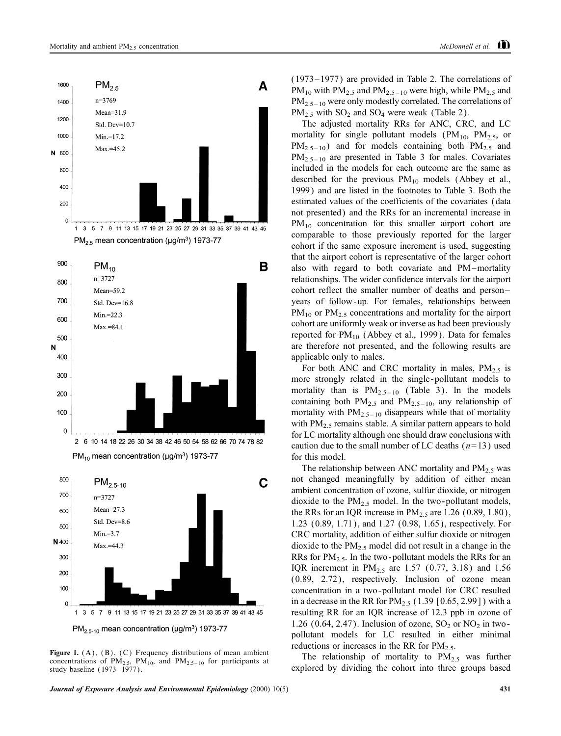



Figure 1.  $(A)$ ,  $(B)$ ,  $(C)$  Frequency distributions of mean ambient concentrations of  $PM_{2.5}$ ,  $PM_{10}$ , and  $PM_{2.5-10}$  for participants at study baseline (1973-1977).

 $(1973-1977)$  are provided in Table 2. The correlations of  $PM_{10}$  with  $PM_{2.5}$  and  $PM_{2.5-10}$  were high, while  $PM_{2.5}$  and  $PM_{2.5-10}$  were only modestly correlated. The correlations of  $PM_{2.5}$  with  $SO_2$  and  $SO_4$  were weak (Table 2).

The adjusted mortality RRs for ANC, CRC, and LC mortality for single pollutant models ( $PM_{10}$ ,  $PM_{2.5}$ , or  $PM_{2,5-10}$ ) and for models containing both  $PM_{2,5}$  and  $PM_{2,5-10}$  are presented in Table 3 for males. Covariates included in the models for each outcome are the same as described for the previous  $PM_{10}$  models (Abbey et al., 1999) and are listed in the footnotes to Table 3. Both the estimated values of the coefficients of the covariates (data not presented) and the RRs for an incremental increase in  $PM_{10}$  concentration for this smaller airport cohort are comparable to those previously reported for the larger cohort if the same exposure increment is used, suggesting that the airport cohort is representative of the larger cohort also with regard to both covariate and PM-mortality relationships. The wider confidence intervals for the airport cohort reflect the smaller number of deaths and personyears of follow-up. For females, relationships between  $PM_{10}$  or  $PM_{2.5}$  concentrations and mortality for the airport cohort are uniformly weak or inverse as had been previously reported for  $PM_{10}$  (Abbey et al., 1999). Data for females are therefore not presented, and the following results are applicable only to males.

For both ANC and CRC mortality in males,  $PM_{2.5}$  is more strongly related in the single-pollutant models to mortality than is  $PM_{2.5-10}$  (Table 3). In the models containing both  $PM_{2.5}$  and  $PM_{2.5-10}$ , any relationship of mortality with  $PM_{2.5-10}$  disappears while that of mortality with  $PM_{2.5}$  remains stable. A similar pattern appears to hold for LC mortality although one should draw conclusions with caution due to the small number of LC deaths  $(n=13)$  used for this model.

The relationship between ANC mortality and  $PM_{2.5}$  was not changed meaningfully by addition of either mean ambient concentration of ozone, sulfur dioxide, or nitrogen dioxide to the  $PM_{2.5}$  model. In the two-pollutant models, the RRs for an IQR increase in  $PM_{2.5}$  are 1.26 (0.89, 1.80), 1.23 (0.89, 1.71), and 1.27 (0.98, 1.65), respectively. For CRC mortality, addition of either sulfur dioxide or nitrogen dioxide to the  $PM_{2.5}$  model did not result in a change in the RRs for PM<sub>2.5</sub>. In the two-pollutant models the RRs for an IQR increment in  $PM_{2.5}$  are 1.57 (0.77, 3.18) and 1.56 (0.89, 2.72), respectively. Inclusion of ozone mean concentration in a two-pollutant model for CRC resulted in a decrease in the RR for  $PM_{2.5}$  (1.39 [0.65, 2.99]) with a resulting RR for an IQR increase of 12.3 ppb in ozone of 1.26 (0.64, 2.47). Inclusion of ozone,  $SO_2$  or  $NO_2$  in twopollutant models for LC resulted in either minimal reductions or increases in the RR for  $PM<sub>2</sub>$ ,

The relationship of mortality to  $PM_2$ , was further explored by dividing the cohort into three groups based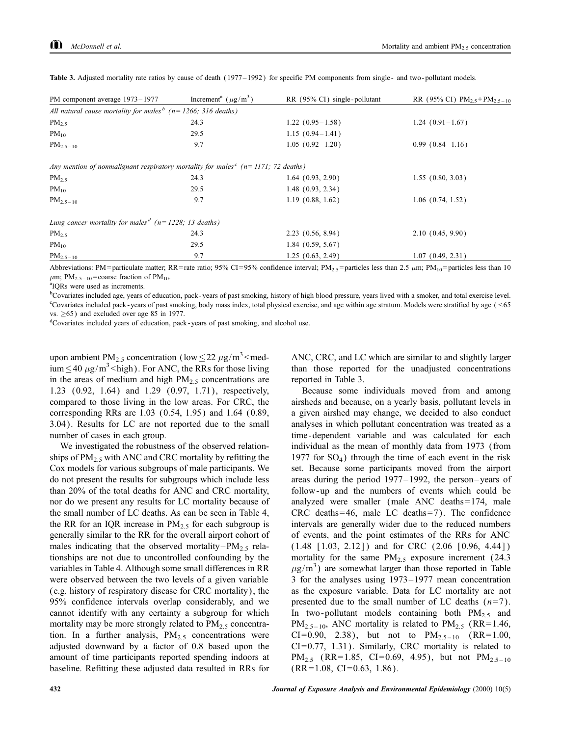| PM component average 1973-1977                                                                   | Increment <sup>a</sup> ( $\mu$ g/m <sup>3</sup> ) | RR (95% CI) single-pollutant | RR (95% CI) $PM_{2.5} + PM_{2.5-10}$ |
|--------------------------------------------------------------------------------------------------|---------------------------------------------------|------------------------------|--------------------------------------|
| All natural cause mortality for males <sup>b</sup> ( $n = 1266$ ; 316 deaths)                    |                                                   |                              |                                      |
| $PM_{2.5}$                                                                                       | 24.3                                              | $1.22(0.95-1.58)$            | $1.24(0.91-1.67)$                    |
| $PM_{10}$                                                                                        | 29.5                                              | $1.15(0.94-1.41)$            |                                      |
| $PM_{2.5-10}$                                                                                    | 9.7                                               | $1.05(0.92-1.20)$            | $0.99(0.84-1.16)$                    |
| Any mention of nonmalignant respiratory mortality for males <sup>c</sup> ( $n=1171$ ; 72 deaths) |                                                   |                              |                                      |
| $PM_{2.5}$                                                                                       | 24.3                                              | $1.64$ $(0.93, 2.90)$        | 1.55(0.80, 3.03)                     |
| $PM_{10}$                                                                                        | 29.5                                              | $1.48$ $(0.93, 2.34)$        |                                      |
| $PM_{2.5-10}$                                                                                    | 9.7                                               | 1.19(0.88, 1.62)             | $1.06$ $(0.74, 1.52)$                |
| Lung cancer mortality for males <sup>d</sup> ( $n = 1228$ ; 13 deaths)                           |                                                   |                              |                                      |
| $PM_{2.5}$                                                                                       | 24.3                                              | $2.23$ $(0.56, 8.94)$        | 2.10(0.45, 9.90)                     |
| $PM_{10}$                                                                                        | 29.5                                              | $1.84$ (0.59, 5.67)          |                                      |
| $PM_{2.5-10}$                                                                                    | 9.7                                               | 1.25(0.63, 2.49)             | 1.07(0.49, 2.31)                     |

Table 3. Adjusted mortality rate ratios by cause of death (1977–1992) for specific PM components from single- and two-pollutant models.

Abbreviations: PM=particulate matter; RR=rate ratio; 95% CI=95% confidence interval; PM<sub>25</sub>=particles less than 2.5  $\mu$ m; PM<sub>10</sub>=particles less than 10  $\mu$ m; PM<sub>2.5-10</sub>=coarse fraction of PM<sub>10</sub>.

<sup>a</sup>IQRs were used as increments.

<sup>b</sup>Covariates included age, years of education, pack-years of past smoking, history of high blood pressure, years lived with a smoker, and total exercise level. <sup>c</sup>Covariates included pack-years of past smoking, body mass index, total physical exercise, and age within age stratum. Models were stratified by age (<65)  $vs. >65$ ) and excluded over age 85 in 1977.

<sup>d</sup>Covariates included years of education, pack-years of past smoking, and alcohol use.

upon ambient PM<sub>2.5</sub> concentration (low  $\leq$  22  $\mu$ g/m<sup>3</sup> <med- $\lim_{m \to \infty}$  40  $\mu$ g/m<sup>3</sup> < high). For ANC, the RRs for those living in the areas of medium and high  $PM_2$ , concentrations are 1.23 (0.92, 1.64) and 1.29 (0.97, 1.71), respectively, compared to those living in the low areas. For CRC, the corresponding RRs are 1.03 (0.54, 1.95) and 1.64 (0.89, 3.04). Results for LC are not reported due to the small number of cases in each group.

We investigated the robustness of the observed relationships of PM<sub>2.5</sub> with ANC and CRC mortality by refitting the Cox models for various subgroups of male participants. We do not present the results for subgroups which include less than 20% of the total deaths for ANC and CRC mortality, nor do we present any results for LC mortality because of the small number of LC deaths. As can be seen in Table 4, the RR for an IQR increase in  $PM_{2.5}$  for each subgroup is generally similar to the RR for the overall airport cohort of males indicating that the observed mortality– $PM_{2.5}$  relationships are not due to uncontrolled confounding by the variables in Table 4. Although some small differences in RR were observed between the two levels of a given variable (e.g. history of respiratory disease for CRC mortality), the 95% confidence intervals overlap considerably, and we cannot identify with any certainty a subgroup for which mortality may be more strongly related to PM<sub>2.5</sub> concentration. In a further analysis,  $PM_{2.5}$  concentrations were adjusted downward by a factor of 0.8 based upon the amount of time participants reported spending indoors at baseline. Refitting these adjusted data resulted in RRs for ANC, CRC, and LC which are similar to and slightly larger than those reported for the unadjusted concentrations reported in Table 3.

Because some individuals moved from and among airsheds and because, on a yearly basis, pollutant levels in a given airshed may change, we decided to also conduct analyses in which pollutant concentration was treated as a time-dependent variable and was calculated for each individual as the mean of monthly data from 1973 (from 1977 for  $SO_4$ ) through the time of each event in the risk set. Because some participants moved from the airport areas during the period 1977–1992, the person–years of follow-up and the numbers of events which could be analyzed were smaller (male ANC deaths=174, male CRC deaths=46, male LC deaths=7). The confidence intervals are generally wider due to the reduced numbers of events, and the point estimates of the RRs for ANC  $(1.48 \t[1.03, 2.12])$  and for CRC  $(2.06 \t[0.96, 4.44])$ mortality for the same  $PM_{2.5}$  exposure increment (24.3)  $\mu$ g/m<sup>3</sup>) are somewhat larger than those reported in Table 3 for the analyses using 1973–1977 mean concentration as the exposure variable. Data for LC mortality are not presented due to the small number of LC deaths  $(n=7)$ . In two-pollutant models containing both PM<sub>2.5</sub> and  $PM_{2.5-10}$ , ANC mortality is related to  $PM_{2.5}$  (RR=1.46, CI=0.90, 2.38), but not to  $PM_{2.5-10}$  (RR=1.00,  $CI=0.77, 1.31$ ). Similarly, CRC mortality is related to PM<sub>2.5</sub> (RR=1.85, CI=0.69, 4.95), but not PM<sub>2.5-10</sub>  $(RR=1.08, CI=0.63, 1.86).$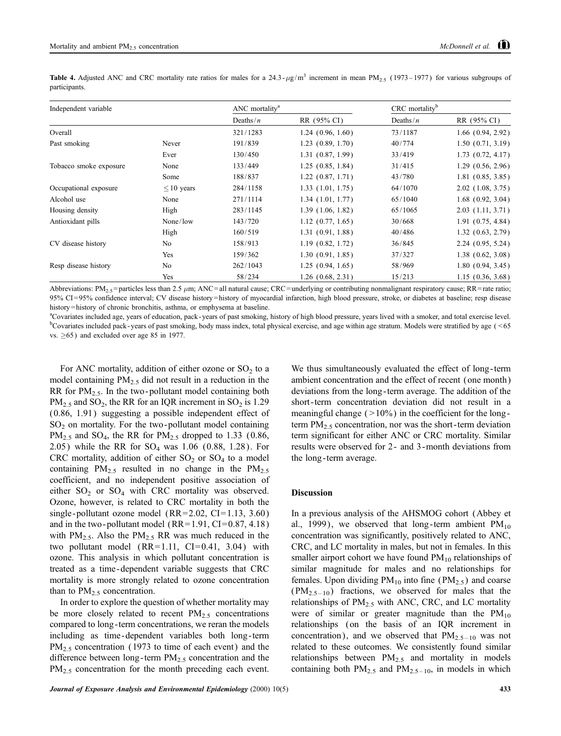**Table 4.** Adjusted ANC and CRC mortality rate ratios for males for a 24.3- $\mu$ g/m<sup>3</sup> increment in mean PM<sub>2.5</sub> (1973–1977) for various subgroups of participants.

| Independent variable   |                 | ANC mortality <sup>a</sup> |                       | CRC mortality <sup>b</sup> |                       |
|------------------------|-----------------|----------------------------|-----------------------|----------------------------|-----------------------|
|                        |                 | Deaths/ $n$                | RR (95% CI)           | Deaths/ $n$                | RR (95% CI)           |
| Overall                |                 | 321/1283                   | 1.24(0.96, 1.60)      | 73/1187                    | $1.66$ $(0.94, 2.92)$ |
| Past smoking           | Never           | 191/839                    | $1.23$ $(0.89, 1.70)$ | 40/774                     | 1.50(0.71, 3.19)      |
|                        | Ever            | 130/450                    | 1.31(0.87, 1.99)      | 33/419                     | $1.73$ $(0.72, 4.17)$ |
| Tobacco smoke exposure | None            | 133/449                    | 1.25(0.85, 1.84)      | 31/415                     | 1.29(0.56, 2.96)      |
|                        | Some            | 188/837                    | $1.22$ $(0.87, 1.71)$ | 43/780                     | 1.81(0.85, 3.85)      |
| Occupational exposure  | $\leq 10$ years | 284/1158                   | 1.33(1.01, 1.75)      | 64/1070                    | $2.02$ (1.08, 3.75)   |
| Alcohol use            | None            | 271/1114                   | $1.34$ $(1.01, 1.77)$ | 65/1040                    | $1.68$ $(0.92, 3.04)$ |
| Housing density        | High            | 283/1145                   | 1.39(1.06, 1.82)      | 65/1065                    | $2.03$ $(1.11, 3.71)$ |
| Antioxidant pills      | None/low        | 143/720                    | $1.12$ $(0.77, 1.65)$ | 30/668                     | 1.91(0.75, 4.84)      |
|                        | High            | 160/519                    | 1.31(0.91, 1.88)      | 40/486                     | 1.32(0.63, 2.79)      |
| CV disease history     | No              | 158/913                    | 1.19(0.82, 1.72)      | 36/845                     | 2.24(0.95, 5.24)      |
|                        | Yes             | 159/362                    | 1.30(0.91, 1.85)      | 37/327                     | $1.38$ $(0.62, 3.08)$ |
| Resp disease history   | No              | 262/1043                   | 1.25(0.94, 1.65)      | 58/969                     | 1.80(0.94, 3.45)      |
|                        | Yes             | 58/234                     | $1.26$ $(0.68, 2.31)$ | 15/213                     | 1.15(0.36, 3.68)      |

Abbreviations: PM<sub>2.5</sub> = particles less than 2.5  $\mu$ m; ANC=all natural cause; CRC=underlying or contributing nonmalignant respiratory cause; RR=rate ratio; 95% CI=95% confidence interval; CV disease history=history of myocardial infarction, high blood pressure, stroke, or diabetes at baseline; resp disease history=history of chronic bronchitis, asthma, or emphysema at baseline.

a Covariates included age, years of education, pack-years of past smoking, history of high blood pressure, years lived with a smoker, and total exercise level. <sup>b</sup>Covariates included pack-years of past smoking, body mass index, total physical exercise, and age within age stratum. Models were stratified by age (<65 vs.  $\geq 65$ ) and excluded over age 85 in 1977.

For ANC mortality, addition of either ozone or  $SO_2$  to a model containing  $PM_{2.5}$  did not result in a reduction in the RR for  $PM_{2.5}$ . In the two-pollutant model containing both  $PM_{2.5}$  and SO<sub>2</sub>, the RR for an IQR increment in SO<sub>2</sub> is 1.29  $(0.86, 1.91)$  suggesting a possible independent effect of SO<sub>2</sub> on mortality. For the two-pollutant model containing  $PM_{2.5}$  and SO<sub>4</sub>, the RR for PM<sub>2.5</sub> dropped to 1.33 (0.86, 2.05) while the RR for  $SO_4$  was 1.06 (0.88, 1.28). For CRC mortality, addition of either  $SO_2$  or  $SO_4$  to a model containing  $PM_{2.5}$  resulted in no change in the  $PM_{2.5}$ coefficient, and no independent positive association of either  $SO_2$  or  $SO_4$  with CRC mortality was observed. Ozone, however, is related to CRC mortality in both the single-pollutant ozone model (RR=2.02, CI=1.13, 3.60) and in the two-pollutant model  $(RR=1.91, CI=0.87, 4.18)$ with  $PM_{2.5}$ . Also the  $PM_{2.5}$  RR was much reduced in the two pollutant model  $(RR=1.11, CI=0.41, 3.04)$  with ozone. This analysis in which pollutant concentration is treated as a time-dependent variable suggests that CRC mortality is more strongly related to ozone concentration than to  $PM_{2.5}$  concentration.

In order to explore the question of whether mortality may be more closely related to recent  $PM_{2.5}$  concentrations compared to long-term concentrations, we reran the models including as time-dependent variables both long-term  $PM_{2.5}$  concentration (1973 to time of each event) and the difference between long-term  $PM_{2.5}$  concentration and the  $PM_{2.5}$  concentration for the month preceding each event.

We thus simultaneously evaluated the effect of long-term ambient concentration and the effect of recent (one month) deviations from the long-term average. The addition of the short-term concentration deviation did not result in a meaningful change  $($  > 10%) in the coefficient for the longterm  $PM_{2.5}$  concentration, nor was the short-term deviation term significant for either ANC or CRC mortality. Similar results were observed for 2- and 3-month deviations from the long-term average.

# **Discussion**

In a previous analysis of the AHSMOG cohort (Abbey et al., 1999), we observed that long-term ambient  $PM_{10}$ concentration was significantly, positively related to ANC, CRC, and LC mortality in males, but not in females. In this smaller airport cohort we have found  $PM_{10}$  relationships of similar magnitude for males and no relationships for females. Upon dividing  $PM_{10}$  into fine ( $PM_{2.5}$ ) and coarse  $(PM_{2,5-10})$  fractions, we observed for males that the relationships of PM<sub>2.5</sub> with ANC, CRC, and LC mortality were of similar or greater magnitude than the  $PM_{10}$ relationships (on the basis of an IQR increment in concentration), and we observed that  $PM_{2.5-10}$  was not related to these outcomes. We consistently found similar relationships between PM<sub>2.5</sub> and mortality in models containing both  $PM_{2.5}$  and  $PM_{2.5-10}$ , in models in which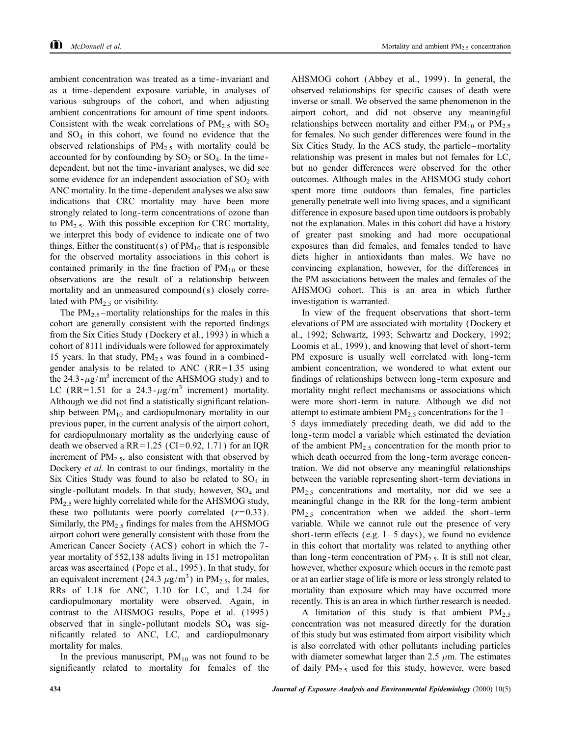ambient concentration was treated as a time-invariant and as a time-dependent exposure variable, in analyses of various subgroups of the cohort, and when adjusting ambient concentrations for amount of time spent indoors. Consistent with the weak correlations of  $PM_2$ , with  $SO_2$ and  $SO_4$  in this cohort, we found no evidence that the observed relationships of  $PM_{2.5}$  with mortality could be accounted for by confounding by  $SO_2$  or  $SO_4$ . In the timedependent, but not the time-invariant analyses, we did see some evidence for an independent association of  $SO<sub>2</sub>$  with ANC mortality. In the time-dependent analyses we also saw indications that CRC mortality may have been more strongly related to long-term concentrations of ozone than to  $PM_{2.5}$ . With this possible exception for CRC mortality, we interpret this body of evidence to indicate one of two things. Either the constituent(s) of  $PM_{10}$  that is responsible for the observed mortality associations in this cohort is contained primarily in the fine fraction of  $PM_{10}$  or these observations are the result of a relationship between mortality and an unmeasured compound(s) closely correlated with  $PM<sub>2.5</sub>$  or visibility.

The PM<sub>2.5</sub>-mortality relationships for the males in this cohort are generally consistent with the reported findings from the Six Cities Study (Dockery et al., 1993) in which a cohort of 8111 individuals were followed for approximately 15 years. In that study,  $PM_{2.5}$  was found in a combinedgender analysis to be related to ANC (RR=1.35 using the 24.3- $\mu$ g/m<sup>3</sup> increment of the AHSMOG study) and to LC (RR=1.51 for a 24.3- $\mu$ g/m<sup>3</sup> increment) mortality. Although we did not find a statistically significant relationship between  $PM_{10}$  and cardiopulmonary mortality in our previous paper, in the current analysis of the airport cohort, for cardiopulmonary mortality as the underlying cause of death we observed a RR=1.25 (CI=0.92, 1.71) for an IQR increment of  $PM_{2.5}$ , also consistent with that observed by Dockery *et al.* In contrast to our findings, mortality in the Six Cities Study was found to also be related to  $SO_4$  in single-pollutant models. In that study, however, SO<sub>4</sub> and PM<sub>2.5</sub> were highly correlated while for the AHSMOG study, these two pollutants were poorly correlated  $(r=0.33)$ . Similarly, the  $PM_{2.5}$  findings for males from the AHSMOG airport cohort were generally consistent with those from the American Cancer Society (ACS) cohort in which the 7year mortality of 552,138 adults living in 151 metropolitan areas was ascertained (Pope et al., 1995). In that study, for an equivalent increment (24.3  $\mu$ g/m<sup>3</sup>) in PM<sub>2.5</sub>, for males, RRs of 1.18 for ANC, 1.10 for LC, and 1.24 for cardiopulmonary mortality were observed. Again, in contrast to the AHSMOG results, Pope et al. (1995) observed that in single-pollutant models  $SO_4$  was significantly related to ANC, LC, and cardiopulmonary mortality for males.

In the previous manuscript,  $PM_{10}$  was not found to be significantly related to mortality for females of the

AHSMOG cohort (Abbey et al., 1999). In general, the observed relationships for specific causes of death were inverse or small. We observed the same phenomenon in the airport cohort, and did not observe any meaningful relationships between mortality and either  $PM_{10}$  or  $PM_{25}$ for females. No such gender differences were found in the Six Cities Study. In the ACS study, the particle–mortality relationship was present in males but not females for LC, but no gender differences were observed for the other outcomes. Although males in the AHSMOG study cohort spent more time outdoors than females, fine particles generally penetrate well into living spaces, and a significant difference in exposure based upon time outdoors is probably not the explanation. Males in this cohort did have a history of greater past smoking and had more occupational exposures than did females, and females tended to have diets higher in antioxidants than males. We have no convincing explanation, however, for the differences in the PM associations between the males and females of the AHSMOG cohort. This is an area in which further investigation is warranted.

In view of the frequent observations that short-term elevations of PM are associated with mortality (Dockery et al., 1992; Schwartz, 1993; Schwartz and Dockery, 1992; Loomis et al., 1999), and knowing that level of short-term PM exposure is usually well correlated with long-term ambient concentration, we wondered to what extent our findings of relationships between long-term exposure and mortality might reflect mechanisms or associations which were more short-term in nature. Although we did not attempt to estimate ambient  $PM_{2.5}$  concentrations for the 1-5 days immediately preceding death, we did add to the long-term model a variable which estimated the deviation of the ambient  $PM_2$ , concentration for the month prior to which death occurred from the long-term average concentration. We did not observe any meaningful relationships between the variable representing short-term deviations in  $PM_{2.5}$  concentrations and mortality, nor did we see a meaningful change in the RR for the long-term ambient  $PM_{2,5}$  concentration when we added the short-term variable. While we cannot rule out the presence of very short-term effects (e.g.  $1-5$  days), we found no evidence in this cohort that mortality was related to anything other than long-term concentration of  $PM_{2.5}$ . It is still not clear, however, whether exposure which occurs in the remote past or at an earlier stage of life is more or less strongly related to mortality than exposure which may have occurred more recently. This is an area in which further research is needed.

A limitation of this study is that ambient  $PM_{2.5}$ concentration was not measured directly for the duration of this study but was estimated from airport visibility which is also correlated with other pollutants including particles with diameter somewhat larger than 2.5  $\mu$ m. The estimates of daily  $PM_{2.5}$  used for this study, however, were based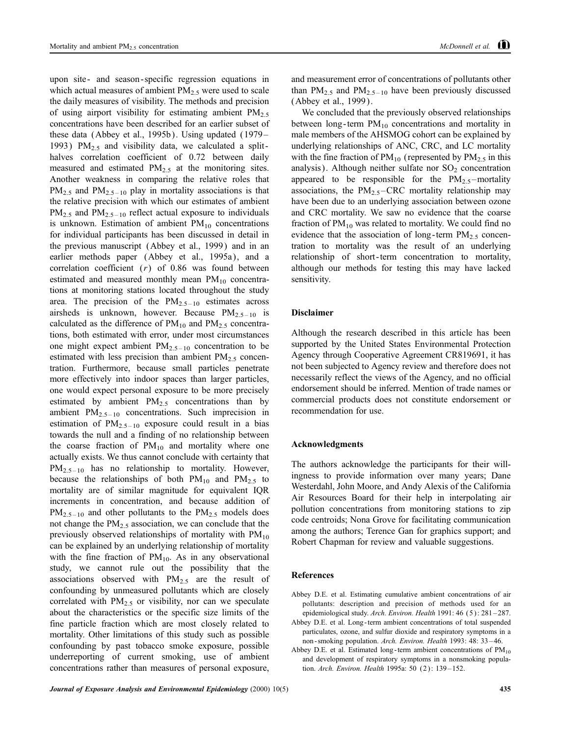upon site- and season-specific regression equations in which actual measures of ambient  $PM_2$ , were used to scale the daily measures of visibility. The methods and precision of using airport visibility for estimating ambient  $PM_{2.5}$ concentrations have been described for an earlier subset of these data (Abbey et al., 1995b). Using updated (1979– 1993)  $PM_{2,5}$  and visibility data, we calculated a splithalves correlation coefficient of 0.72 between daily measured and estimated  $PM_{2.5}$  at the monitoring sites. Another weakness in comparing the relative roles that  $PM_{2.5}$  and  $PM_{2.5-10}$  play in mortality associations is that the relative precision with which our estimates of ambient  $PM_{2.5}$  and  $PM_{2.5-10}$  reflect actual exposure to individuals is unknown. Estimation of ambient  $PM_{10}$  concentrations for individual participants has been discussed in detail in the previous manuscript (Abbey et al., 1999) and in an earlier methods paper (Abbey et al., 1995a), and a correlation coefficient  $(r)$  of 0.86 was found between estimated and measured monthly mean  $PM_{10}$  concentrations at monitoring stations located throughout the study area. The precision of the  $PM_{2.5-10}$  estimates across airsheds is unknown, however. Because  $PM_{2,5-10}$  is calculated as the difference of  $PM_{10}$  and  $PM_{2.5}$  concentrations, both estimated with error, under most circumstances one might expect ambient  $PM_{2,5-10}$  concentration to be estimated with less precision than ambient  $PM_{2.5}$  concentration. Furthermore, because small particles penetrate more effectively into indoor spaces than larger particles, one would expect personal exposure to be more precisely estimated by ambient  $PM_{2.5}$  concentrations than by ambient  $PM_{2.5-10}$  concentrations. Such imprecision in estimation of  $PM_{2,5-10}$  exposure could result in a bias towards the null and a finding of no relationship between the coarse fraction of  $PM_{10}$  and mortality where one actually exists. We thus cannot conclude with certainty that  $PM_{2.5-10}$  has no relationship to mortality. However, because the relationships of both  $PM_{10}$  and  $PM_{2.5}$  to mortality are of similar magnitude for equivalent IQR increments in concentration, and because addition of  $PM_{2.5-10}$  and other pollutants to the  $PM_{2.5}$  models does not change the  $PM_{2,5}$  association, we can conclude that the previously observed relationships of mortality with  $PM_{10}$ can be explained by an underlying relationship of mortality with the fine fraction of  $PM_{10}$ . As in any observational study, we cannot rule out the possibility that the associations observed with  $PM_{2.5}$  are the result of confounding by unmeasured pollutants which are closely correlated with  $PM_{2.5}$  or visibility, nor can we speculate about the characteristics or the specific size limits of the fine particle fraction which are most closely related to mortality. Other limitations of this study such as possible confounding by past tobacco smoke exposure, possible underreporting of current smoking, use of ambient concentrations rather than measures of personal exposure,

and measurement error of concentrations of pollutants other than  $PM_{2.5}$  and  $PM_{2.5-10}$  have been previously discussed (Abbey et al., 1999).

We concluded that the previously observed relationships between long-term  $PM_{10}$  concentrations and mortality in male members of the AHSMOG cohort can be explained by underlying relationships of ANC, CRC, and LC mortality with the fine fraction of  $PM_{10}$  (represented by  $PM_{2.5}$  in this analysis). Although neither sulfate nor  $SO<sub>2</sub>$  concentration appeared to be responsible for the  $PM_{2.5}$ -mortality associations, the  $PM_{2.5}$ –CRC mortality relationship may have been due to an underlying association between ozone and CRC mortality. We saw no evidence that the coarse fraction of  $PM_{10}$  was related to mortality. We could find no evidence that the association of long-term  $PM_{2.5}$  concentration to mortality was the result of an underlying relationship of short-term concentration to mortality, although our methods for testing this may have lacked sensitivity.

#### **Disclaimer**

Although the research described in this article has been supported by the United States Environmental Protection Agency through Cooperative Agreement CR819691, it has not been subjected to Agency review and therefore does not necessarily reflect the views of the Agency, and no official endorsement should be inferred. Mention of trade names or commercial products does not constitute endorsement or recommendation for use.

## **Acknowledgments**

The authors acknowledge the participants for their willingness to provide information over many years; Dane Westerdahl, John Moore, and Andy Alexis of the California Air Resources Board for their help in interpolating air pollution concentrations from monitoring stations to zip code centroids; Nona Grove for facilitating communication among the authors; Terence Gan for graphics support; and Robert Chapman for review and valuable suggestions.

#### **References**

- Abbey D.E. et al. Estimating cumulative ambient concentrations of air pollutants: description and precision of methods used for an epidemiological study. Arch. Environ. Health 1991: 46 (5): 281-287.
- Abbey D.E. et al. Long-term ambient concentrations of total suspended particulates, ozone, and sulfur dioxide and respiratory symptoms in a non-smoking population. Arch. Environ. Health 1993: 48: 33-46.
- Abbey D.E. et al. Estimated long-term ambient concentrations of  $PM_{10}$ and development of respiratory symptoms in a nonsmoking population. Arch. Environ. Health 1995a: 50 (2): 139-152.